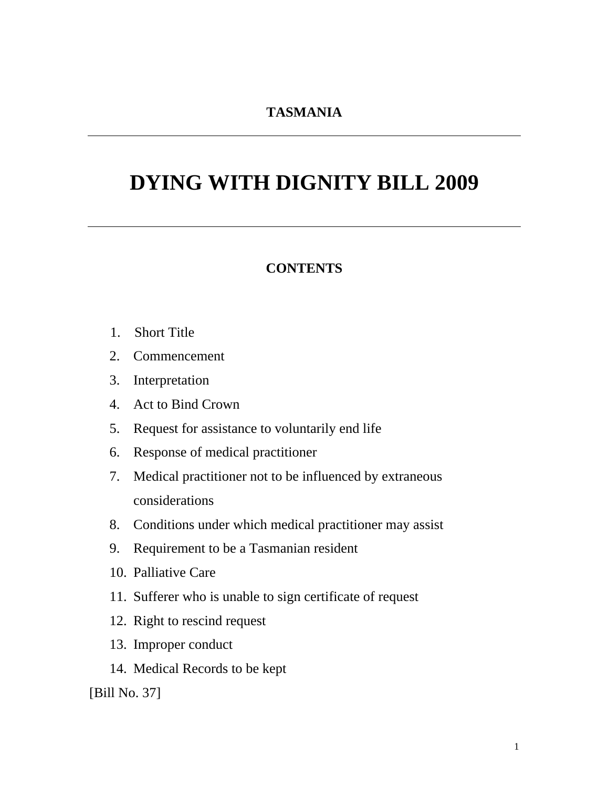## **TASMANIA**

# **DYING WITH DIGNITY BILL 2009**

#### **CONTENTS**

- 1. Short Title
- 2. Commencement
- 3. Interpretation
- 4. Act to Bind Crown
- 5. Request for assistance to voluntarily end life
- 6. Response of medical practitioner
- 7. Medical practitioner not to be influenced by extraneous considerations
- 8. Conditions under which medical practitioner may assist
- 9. Requirement to be a Tasmanian resident
- 10. Palliative Care
- 11. Sufferer who is unable to sign certificate of request
- 12. Right to rescind request
- 13. Improper conduct
- 14. Medical Records to be kept

[Bill No. 37]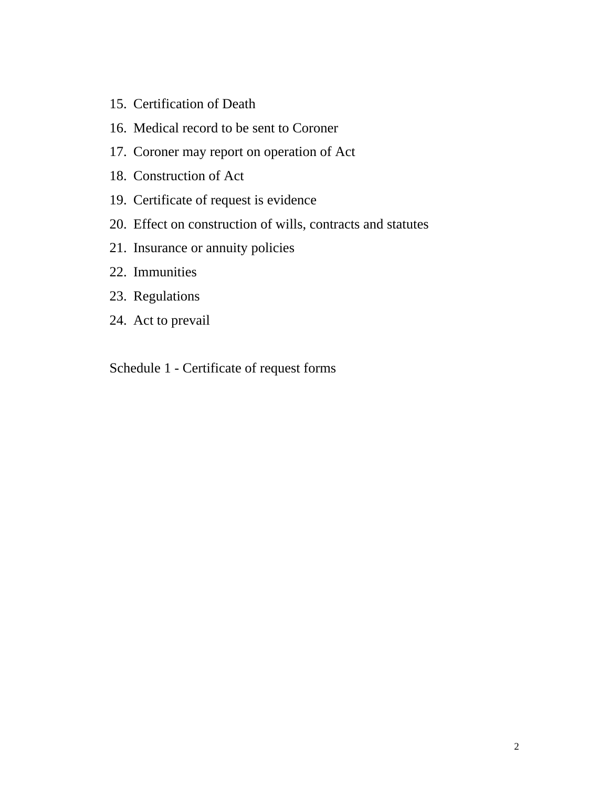- 15. Certification of Death
- 16. Medical record to be sent to Coroner
- 17. Coroner may report on operation of Act
- 18. Construction of Act
- 19. Certificate of request is evidence
- 20. Effect on construction of wills, contracts and statutes
- 21. Insurance or annuity policies
- 22. Immunities
- 23. Regulations
- 24. Act to prevail

Schedule 1 - Certificate of request forms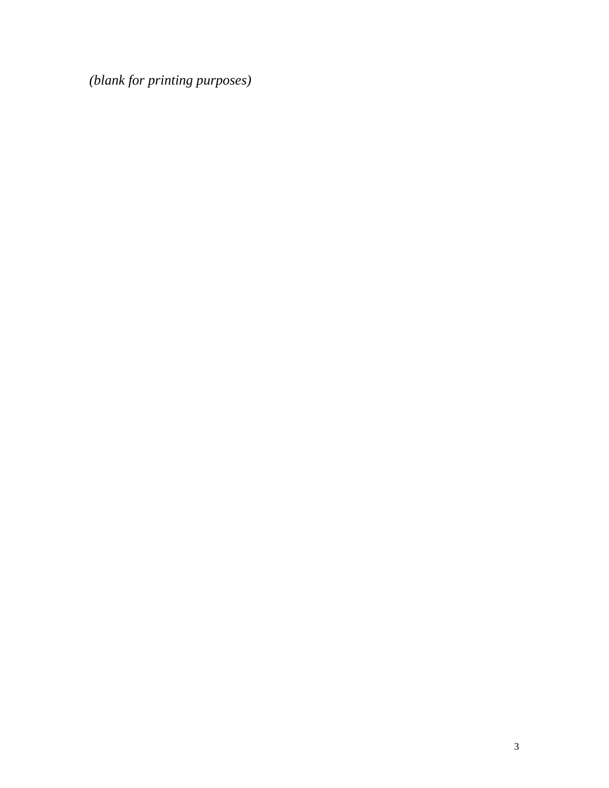*(blank for printing purposes)*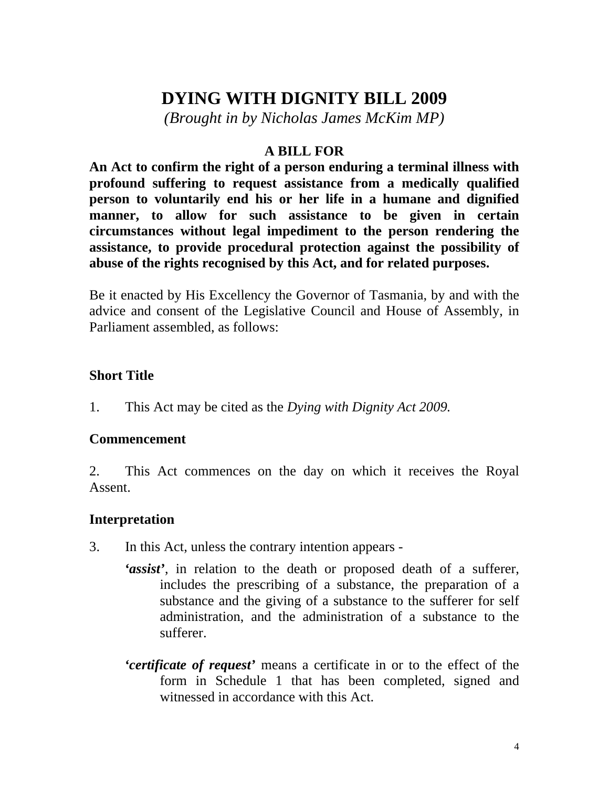# **DYING WITH DIGNITY BILL 2009**

*(Brought in by Nicholas James McKim MP)* 

#### **A BILL FOR**

**An Act to confirm the right of a person enduring a terminal illness with profound suffering to request assistance from a medically qualified person to voluntarily end his or her life in a humane and dignified manner, to allow for such assistance to be given in certain circumstances without legal impediment to the person rendering the assistance, to provide procedural protection against the possibility of abuse of the rights recognised by this Act, and for related purposes.** 

Be it enacted by His Excellency the Governor of Tasmania, by and with the advice and consent of the Legislative Council and House of Assembly, in Parliament assembled, as follows:

#### **Short Title**

1. This Act may be cited as the *Dying with Dignity Act 2009.*

#### **Commencement**

2. This Act commences on the day on which it receives the Royal Assent.

#### **Interpretation**

- 3. In this Act, unless the contrary intention appears
	- *'assist'*, in relation to the death or proposed death of a sufferer, includes the prescribing of a substance, the preparation of a substance and the giving of a substance to the sufferer for self administration, and the administration of a substance to the sufferer.
		- *'certificate of request'* means a certificate in or to the effect of the form in Schedule 1 that has been completed, signed and witnessed in accordance with this Act.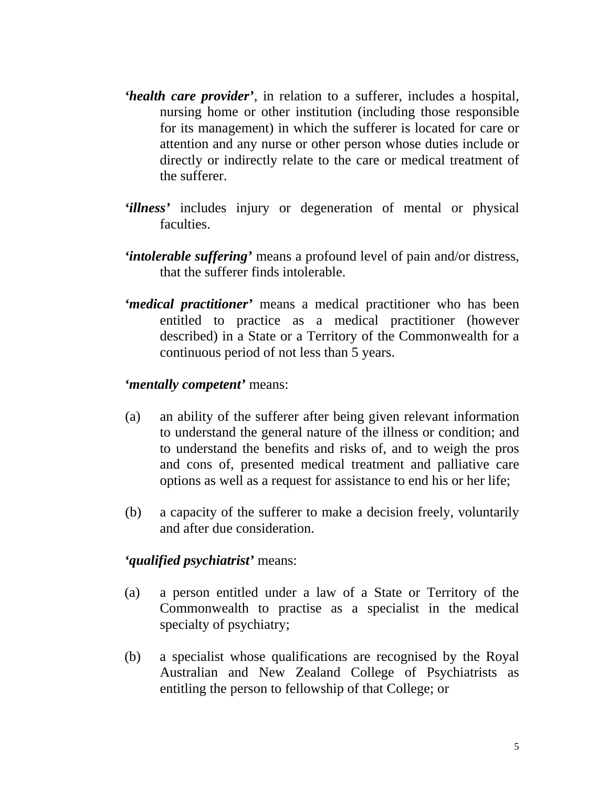- *'health care provider'*, in relation to a sufferer, includes a hospital, nursing home or other institution (including those responsible for its management) in which the sufferer is located for care or attention and any nurse or other person whose duties include or directly or indirectly relate to the care or medical treatment of the sufferer.
- *'illness'* includes injury or degeneration of mental or physical faculties.
- *'intolerable suffering'* means a profound level of pain and/or distress, that the sufferer finds intolerable.
- *'medical practitioner'* means a medical practitioner who has been entitled to practice as a medical practitioner (however described) in a State or a Territory of the Commonwealth for a continuous period of not less than 5 years.

#### *'mentally competent'* means:

- (a) an ability of the sufferer after being given relevant information to understand the general nature of the illness or condition; and to understand the benefits and risks of, and to weigh the pros and cons of, presented medical treatment and palliative care options as well as a request for assistance to end his or her life;
- (b) a capacity of the sufferer to make a decision freely, voluntarily and after due consideration.

#### *'qualified psychiatrist'* means:

- (a) a person entitled under a law of a State or Territory of the Commonwealth to practise as a specialist in the medical specialty of psychiatry;
- (b) a specialist whose qualifications are recognised by the Royal Australian and New Zealand College of Psychiatrists as entitling the person to fellowship of that College; or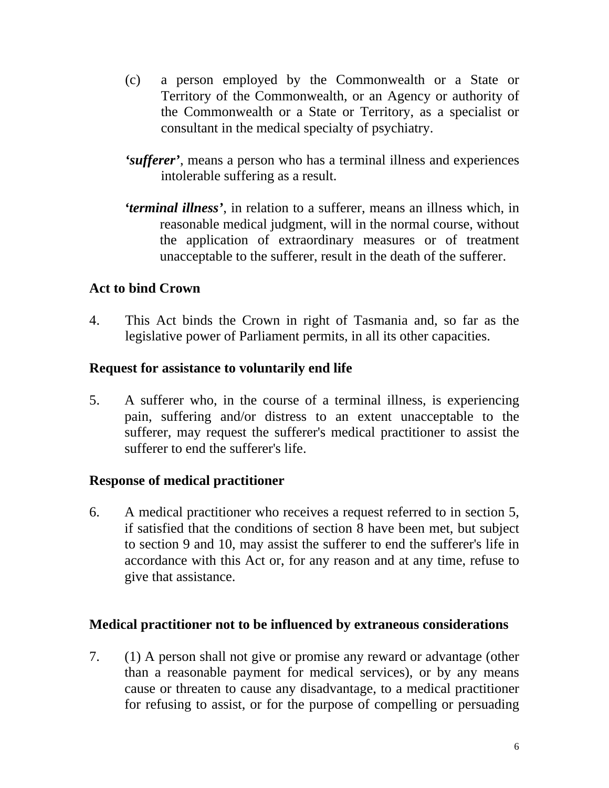- (c) a person employed by the Commonwealth or a State or Territory of the Commonwealth, or an Agency or authority of the Commonwealth or a State or Territory, as a specialist or consultant in the medical specialty of psychiatry.
- *'sufferer'*, means a person who has a terminal illness and experiences intolerable suffering as a result.
- *'terminal illness'*, in relation to a sufferer, means an illness which, in reasonable medical judgment, will in the normal course, without the application of extraordinary measures or of treatment unacceptable to the sufferer, result in the death of the sufferer.

#### **Act to bind Crown**

4. This Act binds the Crown in right of Tasmania and, so far as the legislative power of Parliament permits, in all its other capacities.

#### **Request for assistance to voluntarily end life**

5. A sufferer who, in the course of a terminal illness, is experiencing pain, suffering and/or distress to an extent unacceptable to the sufferer, may request the sufferer's medical practitioner to assist the sufferer to end the sufferer's life.

#### **Response of medical practitioner**

6. A medical practitioner who receives a request referred to in section 5, if satisfied that the conditions of section 8 have been met, but subject to section 9 and 10, may assist the sufferer to end the sufferer's life in accordance with this Act or, for any reason and at any time, refuse to give that assistance.

#### **Medical practitioner not to be influenced by extraneous considerations**

7. (1) A person shall not give or promise any reward or advantage (other than a reasonable payment for medical services), or by any means cause or threaten to cause any disadvantage, to a medical practitioner for refusing to assist, or for the purpose of compelling or persuading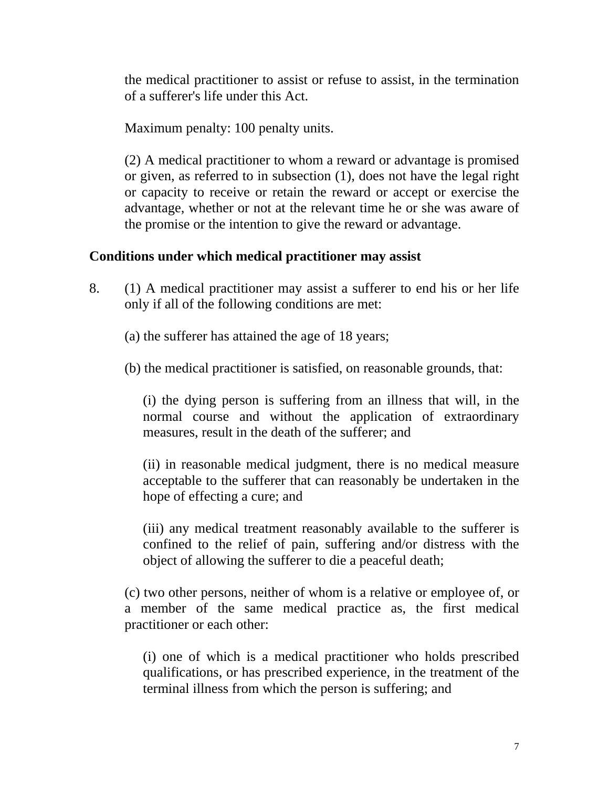the medical practitioner to assist or refuse to assist, in the termination of a sufferer's life under this Act.

Maximum penalty: 100 penalty units.

(2) A medical practitioner to whom a reward or advantage is promised or given, as referred to in subsection (1), does not have the legal right or capacity to receive or retain the reward or accept or exercise the advantage, whether or not at the relevant time he or she was aware of the promise or the intention to give the reward or advantage.

# **Conditions under which medical practitioner may assist**

8. (1) A medical practitioner may assist a sufferer to end his or her life only if all of the following conditions are met:

(a) the sufferer has attained the age of 18 years;

(b) the medical practitioner is satisfied, on reasonable grounds, that:

(i) the dying person is suffering from an illness that will, in the normal course and without the application of extraordinary measures, result in the death of the sufferer; and

(ii) in reasonable medical judgment, there is no medical measure acceptable to the sufferer that can reasonably be undertaken in the hope of effecting a cure; and

(iii) any medical treatment reasonably available to the sufferer is confined to the relief of pain, suffering and/or distress with the object of allowing the sufferer to die a peaceful death;

(c) two other persons, neither of whom is a relative or employee of, or a member of the same medical practice as, the first medical practitioner or each other:

(i) one of which is a medical practitioner who holds prescribed qualifications, or has prescribed experience, in the treatment of the terminal illness from which the person is suffering; and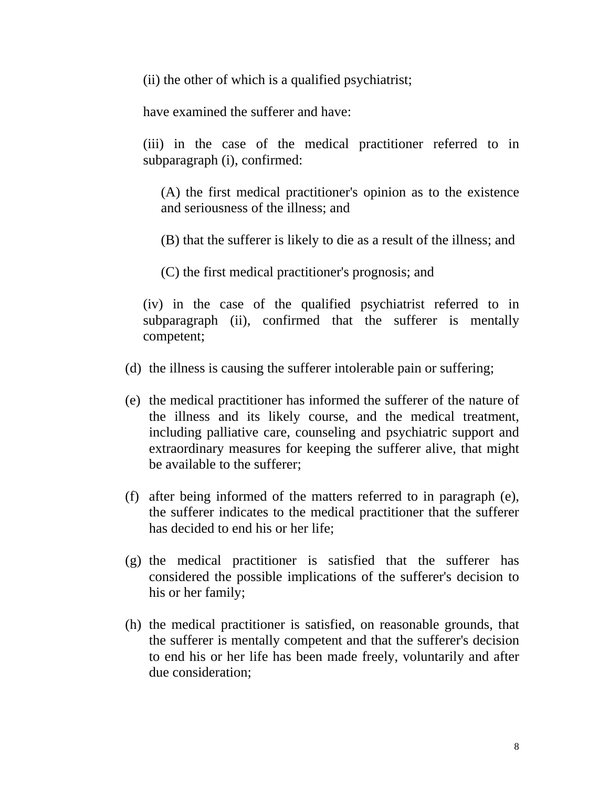(ii) the other of which is a qualified psychiatrist;

have examined the sufferer and have:

(iii) in the case of the medical practitioner referred to in subparagraph (i), confirmed:

(A) the first medical practitioner's opinion as to the existence and seriousness of the illness; and

(B) that the sufferer is likely to die as a result of the illness; and

(C) the first medical practitioner's prognosis; and

(iv) in the case of the qualified psychiatrist referred to in subparagraph (ii), confirmed that the sufferer is mentally competent;

- (d) the illness is causing the sufferer intolerable pain or suffering;
- (e) the medical practitioner has informed the sufferer of the nature of the illness and its likely course, and the medical treatment, including palliative care, counseling and psychiatric support and extraordinary measures for keeping the sufferer alive, that might be available to the sufferer;
- (f) after being informed of the matters referred to in paragraph (e), the sufferer indicates to the medical practitioner that the sufferer has decided to end his or her life;
- (g) the medical practitioner is satisfied that the sufferer has considered the possible implications of the sufferer's decision to his or her family;
- (h) the medical practitioner is satisfied, on reasonable grounds, that the sufferer is mentally competent and that the sufferer's decision to end his or her life has been made freely, voluntarily and after due consideration;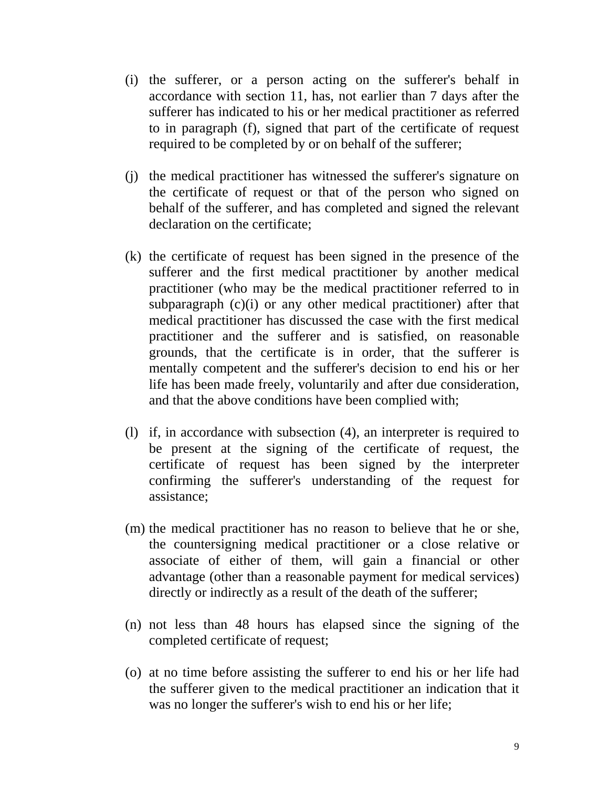- (i) the sufferer, or a person acting on the sufferer's behalf in accordance with section 11, has, not earlier than 7 days after the sufferer has indicated to his or her medical practitioner as referred to in paragraph (f), signed that part of the certificate of request required to be completed by or on behalf of the sufferer;
- (j) the medical practitioner has witnessed the sufferer's signature on the certificate of request or that of the person who signed on behalf of the sufferer, and has completed and signed the relevant declaration on the certificate;
- (k) the certificate of request has been signed in the presence of the sufferer and the first medical practitioner by another medical practitioner (who may be the medical practitioner referred to in subparagraph (c)(i) or any other medical practitioner) after that medical practitioner has discussed the case with the first medical practitioner and the sufferer and is satisfied, on reasonable grounds, that the certificate is in order, that the sufferer is mentally competent and the sufferer's decision to end his or her life has been made freely, voluntarily and after due consideration, and that the above conditions have been complied with;
- (l) if, in accordance with subsection (4), an interpreter is required to be present at the signing of the certificate of request, the certificate of request has been signed by the interpreter confirming the sufferer's understanding of the request for assistance;
- (m) the medical practitioner has no reason to believe that he or she, the countersigning medical practitioner or a close relative or associate of either of them, will gain a financial or other advantage (other than a reasonable payment for medical services) directly or indirectly as a result of the death of the sufferer;
- (n) not less than 48 hours has elapsed since the signing of the completed certificate of request;
- (o) at no time before assisting the sufferer to end his or her life had the sufferer given to the medical practitioner an indication that it was no longer the sufferer's wish to end his or her life;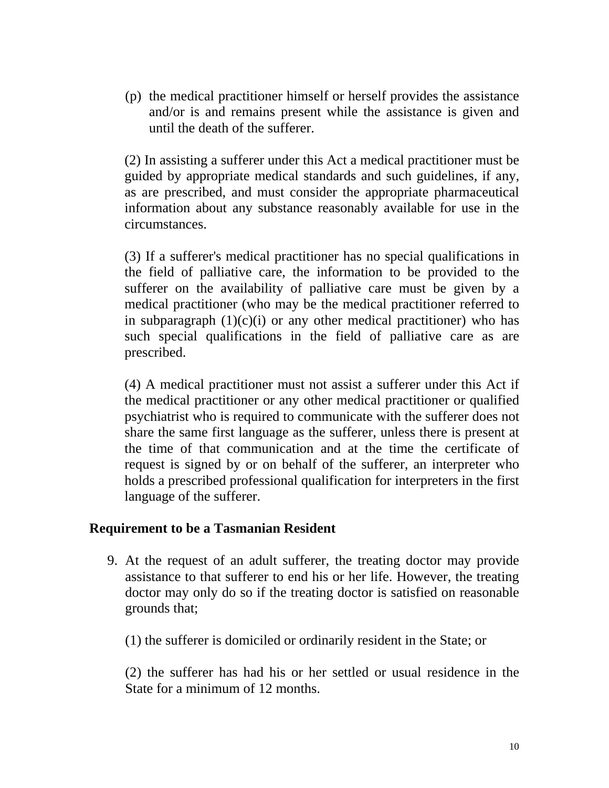(p) the medical practitioner himself or herself provides the assistance and/or is and remains present while the assistance is given and until the death of the sufferer.

(2) In assisting a sufferer under this Act a medical practitioner must be guided by appropriate medical standards and such guidelines, if any, as are prescribed, and must consider the appropriate pharmaceutical information about any substance reasonably available for use in the circumstances.

(3) If a sufferer's medical practitioner has no special qualifications in the field of palliative care, the information to be provided to the sufferer on the availability of palliative care must be given by a medical practitioner (who may be the medical practitioner referred to in subparagraph  $(1)(c)(i)$  or any other medical practitioner) who has such special qualifications in the field of palliative care as are prescribed.

(4) A medical practitioner must not assist a sufferer under this Act if the medical practitioner or any other medical practitioner or qualified psychiatrist who is required to communicate with the sufferer does not share the same first language as the sufferer, unless there is present at the time of that communication and at the time the certificate of request is signed by or on behalf of the sufferer, an interpreter who holds a prescribed professional qualification for interpreters in the first language of the sufferer.

#### **Requirement to be a Tasmanian Resident**

9. At the request of an adult sufferer, the treating doctor may provide assistance to that sufferer to end his or her life. However, the treating doctor may only do so if the treating doctor is satisfied on reasonable grounds that;

(1) the sufferer is domiciled or ordinarily resident in the State; or

(2) the sufferer has had his or her settled or usual residence in the State for a minimum of 12 months.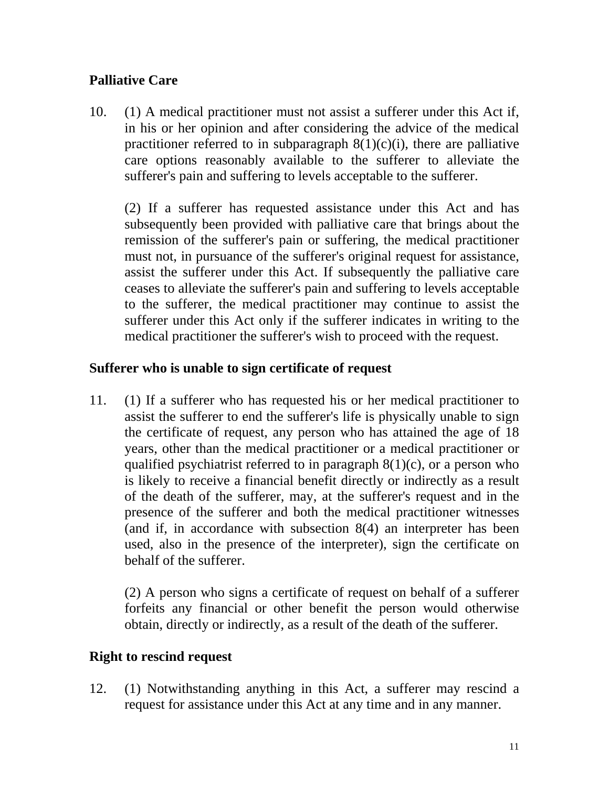# **Palliative Care**

10. (1) A medical practitioner must not assist a sufferer under this Act if, in his or her opinion and after considering the advice of the medical practitioner referred to in subparagraph  $8(1)(c)(i)$ , there are palliative care options reasonably available to the sufferer to alleviate the sufferer's pain and suffering to levels acceptable to the sufferer.

(2) If a sufferer has requested assistance under this Act and has subsequently been provided with palliative care that brings about the remission of the sufferer's pain or suffering, the medical practitioner must not, in pursuance of the sufferer's original request for assistance, assist the sufferer under this Act. If subsequently the palliative care ceases to alleviate the sufferer's pain and suffering to levels acceptable to the sufferer, the medical practitioner may continue to assist the sufferer under this Act only if the sufferer indicates in writing to the medical practitioner the sufferer's wish to proceed with the request.

#### **Sufferer who is unable to sign certificate of request**

11. (1) If a sufferer who has requested his or her medical practitioner to assist the sufferer to end the sufferer's life is physically unable to sign the certificate of request, any person who has attained the age of 18 years, other than the medical practitioner or a medical practitioner or qualified psychiatrist referred to in paragraph  $8(1)(c)$ , or a person who is likely to receive a financial benefit directly or indirectly as a result of the death of the sufferer, may, at the sufferer's request and in the presence of the sufferer and both the medical practitioner witnesses (and if, in accordance with subsection 8(4) an interpreter has been used, also in the presence of the interpreter), sign the certificate on behalf of the sufferer.

(2) A person who signs a certificate of request on behalf of a sufferer forfeits any financial or other benefit the person would otherwise obtain, directly or indirectly, as a result of the death of the sufferer.

#### **Right to rescind request**

12. (1) Notwithstanding anything in this Act, a sufferer may rescind a request for assistance under this Act at any time and in any manner.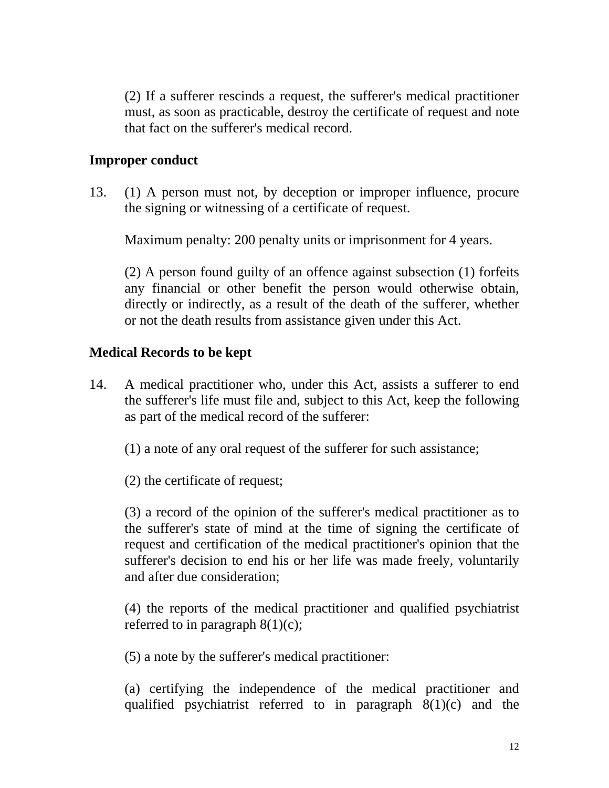(2) If a sufferer rescinds a request, the sufferer's medical practitioner must, as soon as practicable, destroy the certificate of request and note that fact on the sufferer's medical record.

#### **Improper conduct**

13. (1) A person must not, by deception or improper influence, procure the signing or witnessing of a certificate of request.

Maximum penalty: 200 penalty units or imprisonment for 4 years.

(2) A person found guilty of an offence against subsection (1) forfeits any financial or other benefit the person would otherwise obtain, directly or indirectly, as a result of the death of the sufferer, whether or not the death results from assistance given under this Act.

#### **Medical Records to be kept**

14. A medical practitioner who, under this Act, assists a sufferer to end the sufferer's life must file and, subject to this Act, keep the following as part of the medical record of the sufferer:

(1) a note of any oral request of the sufferer for such assistance;

(2) the certificate of request;

(3) a record of the opinion of the sufferer's medical practitioner as to the sufferer's state of mind at the time of signing the certificate of request and certification of the medical practitioner's opinion that the sufferer's decision to end his or her life was made freely, voluntarily and after due consideration;

(4) the reports of the medical practitioner and qualified psychiatrist referred to in paragraph  $8(1)(c)$ ;

(5) a note by the sufferer's medical practitioner:

(a) certifying the independence of the medical practitioner and qualified psychiatrist referred to in paragraph 8(1)(c) and the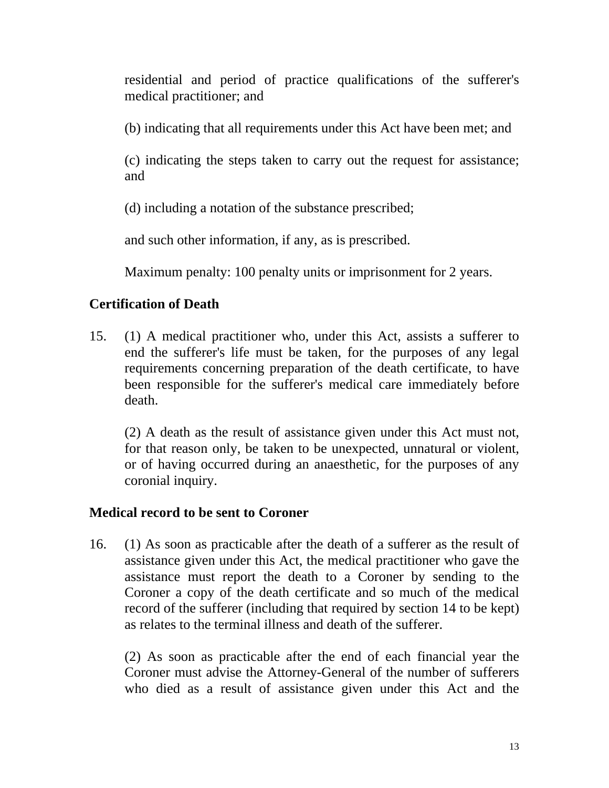residential and period of practice qualifications of the sufferer's medical practitioner; and

(b) indicating that all requirements under this Act have been met; and

(c) indicating the steps taken to carry out the request for assistance; and

(d) including a notation of the substance prescribed;

and such other information, if any, as is prescribed.

Maximum penalty: 100 penalty units or imprisonment for 2 years.

# **Certification of Death**

15. (1) A medical practitioner who, under this Act, assists a sufferer to end the sufferer's life must be taken, for the purposes of any legal requirements concerning preparation of the death certificate, to have been responsible for the sufferer's medical care immediately before death.

(2) A death as the result of assistance given under this Act must not, for that reason only, be taken to be unexpected, unnatural or violent, or of having occurred during an anaesthetic, for the purposes of any coronial inquiry.

# **Medical record to be sent to Coroner**

16. (1) As soon as practicable after the death of a sufferer as the result of assistance given under this Act, the medical practitioner who gave the assistance must report the death to a Coroner by sending to the Coroner a copy of the death certificate and so much of the medical record of the sufferer (including that required by section 14 to be kept) as relates to the terminal illness and death of the sufferer.

(2) As soon as practicable after the end of each financial year the Coroner must advise the Attorney-General of the number of sufferers who died as a result of assistance given under this Act and the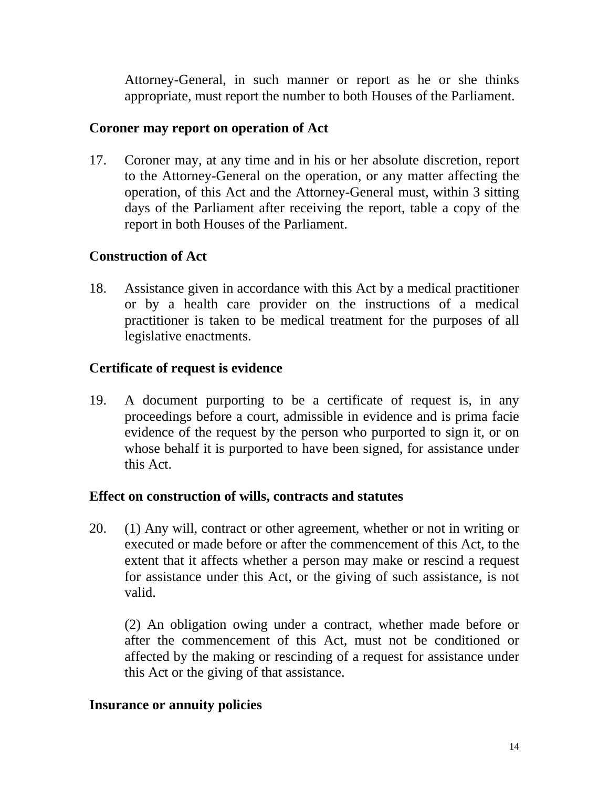Attorney-General, in such manner or report as he or she thinks appropriate, must report the number to both Houses of the Parliament.

#### **Coroner may report on operation of Act**

17. Coroner may, at any time and in his or her absolute discretion, report to the Attorney-General on the operation, or any matter affecting the operation, of this Act and the Attorney-General must, within 3 sitting days of the Parliament after receiving the report, table a copy of the report in both Houses of the Parliament.

# **Construction of Act**

18. Assistance given in accordance with this Act by a medical practitioner or by a health care provider on the instructions of a medical practitioner is taken to be medical treatment for the purposes of all legislative enactments.

#### **Certificate of request is evidence**

19. A document purporting to be a certificate of request is, in any proceedings before a court, admissible in evidence and is prima facie evidence of the request by the person who purported to sign it, or on whose behalf it is purported to have been signed, for assistance under this Act.

#### **Effect on construction of wills, contracts and statutes**

20. (1) Any will, contract or other agreement, whether or not in writing or executed or made before or after the commencement of this Act, to the extent that it affects whether a person may make or rescind a request for assistance under this Act, or the giving of such assistance, is not valid.

(2) An obligation owing under a contract, whether made before or after the commencement of this Act, must not be conditioned or affected by the making or rescinding of a request for assistance under this Act or the giving of that assistance.

#### **Insurance or annuity policies**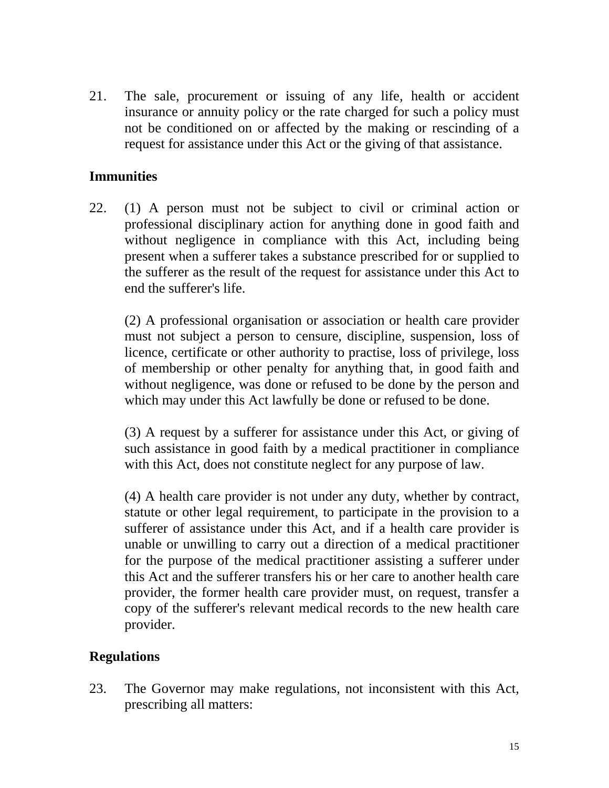21. The sale, procurement or issuing of any life, health or accident insurance or annuity policy or the rate charged for such a policy must not be conditioned on or affected by the making or rescinding of a request for assistance under this Act or the giving of that assistance.

## **Immunities**

22. (1) A person must not be subject to civil or criminal action or professional disciplinary action for anything done in good faith and without negligence in compliance with this Act, including being present when a sufferer takes a substance prescribed for or supplied to the sufferer as the result of the request for assistance under this Act to end the sufferer's life.

(2) A professional organisation or association or health care provider must not subject a person to censure, discipline, suspension, loss of licence, certificate or other authority to practise, loss of privilege, loss of membership or other penalty for anything that, in good faith and without negligence, was done or refused to be done by the person and which may under this Act lawfully be done or refused to be done.

(3) A request by a sufferer for assistance under this Act, or giving of such assistance in good faith by a medical practitioner in compliance with this Act, does not constitute neglect for any purpose of law.

(4) A health care provider is not under any duty, whether by contract, statute or other legal requirement, to participate in the provision to a sufferer of assistance under this Act, and if a health care provider is unable or unwilling to carry out a direction of a medical practitioner for the purpose of the medical practitioner assisting a sufferer under this Act and the sufferer transfers his or her care to another health care provider, the former health care provider must, on request, transfer a copy of the sufferer's relevant medical records to the new health care provider.

# **Regulations**

23. The Governor may make regulations, not inconsistent with this Act, prescribing all matters: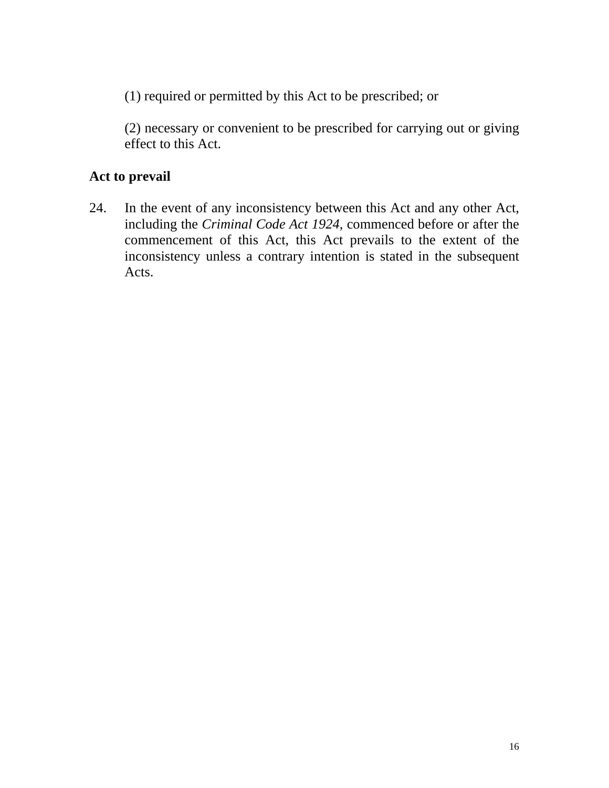(1) required or permitted by this Act to be prescribed; or

(2) necessary or convenient to be prescribed for carrying out or giving effect to this Act.

# **Act to prevail**

24. In the event of any inconsistency between this Act and any other Act, including the *Criminal Code Act 1924*, commenced before or after the commencement of this Act, this Act prevails to the extent of the inconsistency unless a contrary intention is stated in the subsequent Acts.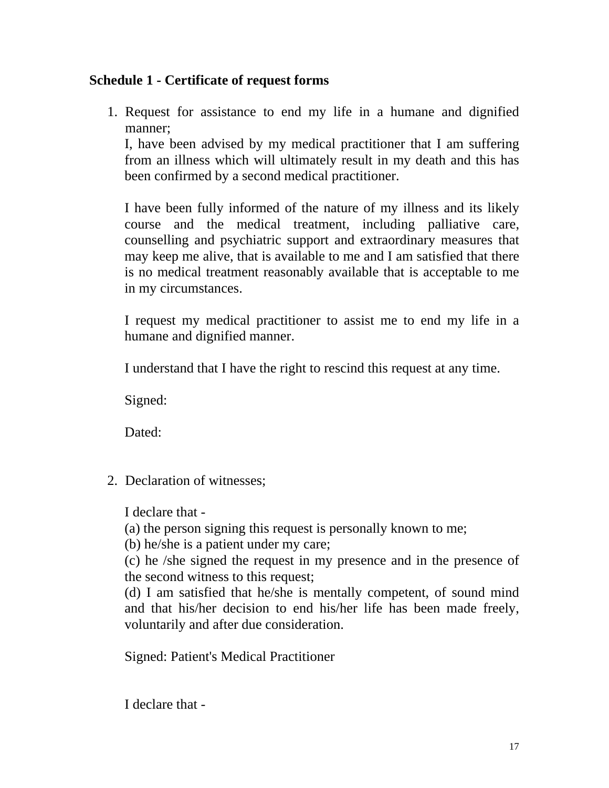#### **Schedule 1 - Certificate of request forms**

1. Request for assistance to end my life in a humane and dignified manner;

I, have been advised by my medical practitioner that I am suffering from an illness which will ultimately result in my death and this has been confirmed by a second medical practitioner.

I have been fully informed of the nature of my illness and its likely course and the medical treatment, including palliative care, counselling and psychiatric support and extraordinary measures that may keep me alive, that is available to me and I am satisfied that there is no medical treatment reasonably available that is acceptable to me in my circumstances.

I request my medical practitioner to assist me to end my life in a humane and dignified manner.

I understand that I have the right to rescind this request at any time.

Signed:

Dated:

2. Declaration of witnesses;

I declare that -

(a) the person signing this request is personally known to me;

(b) he/she is a patient under my care;

(c) he /she signed the request in my presence and in the presence of the second witness to this request;

(d) I am satisfied that he/she is mentally competent, of sound mind and that his/her decision to end his/her life has been made freely, voluntarily and after due consideration.

Signed: Patient's Medical Practitioner

I declare that -